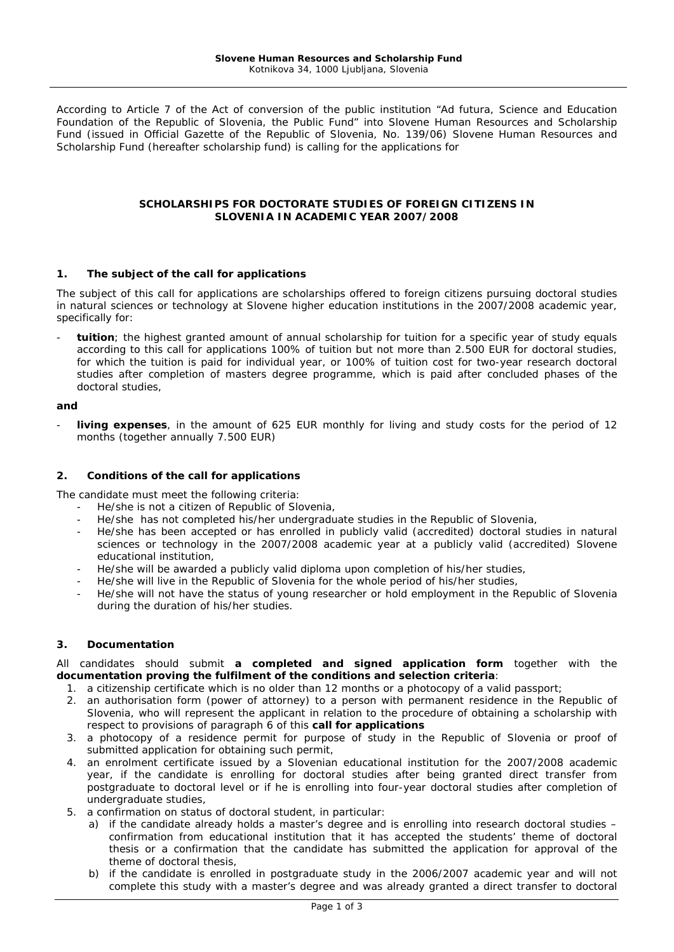According to Article 7 of the Act of conversion of the public institution "Ad futura, Science and Education Foundation of the Republic of Slovenia, the Public Fund" into Slovene Human Resources and Scholarship Fund (issued in Official Gazette of the Republic of Slovenia, No. 139/06) Slovene Human Resources and Scholarship Fund (hereafter scholarship fund) is calling for the applications for

# **SCHOLARSHIPS FOR DOCTORATE STUDIES OF FOREIGN CITIZENS IN SLOVENIA IN ACADEMIC YEAR 2007/2008**

## **1. The subject of the call for applications**

The subject of this call for applications are scholarships offered to foreign citizens pursuing doctoral studies in natural sciences or technology at Slovene higher education institutions in the 2007/2008 academic year, specifically for:

tuition; the highest granted amount of annual scholarship for tuition for a specific year of study equals according to this call for applications 100% of tuition but not more than 2.500 EUR for doctoral studies, for which the tuition is paid for individual year, or 100% of tuition cost for two-year research doctoral studies after completion of masters degree programme, which is paid after concluded phases of the doctoral studies,

### **and**

living expenses, in the amount of 625 EUR monthly for living and study costs for the period of 12 months (together annually 7.500 EUR)

### **2. Conditions of the call for applications**

The candidate must meet the following criteria:

- He/she is not a citizen of Republic of Slovenia,
- He/she has not completed his/her undergraduate studies in the Republic of Slovenia,
- He/she has been accepted or has enrolled in publicly valid (accredited) doctoral studies in natural sciences or technology in the 2007/2008 academic year at a publicly valid (accredited) Slovene educational institution,
- He/she will be awarded a publicly valid diploma upon completion of his/her studies,
- He/she will live in the Republic of Slovenia for the whole period of his/her studies,
- He/she will not have the status of young researcher or hold employment in the Republic of Slovenia during the duration of his/her studies.

## **3. Documentation**

All candidates should submit **a completed and signed application form** together with the **documentation proving the fulfilment of the conditions and selection criteria**:

- 1. a citizenship certificate which is no older than 12 months or a photocopy of a valid passport;
- 2. an authorisation form (power of attorney) to a person with permanent residence in the Republic of Slovenia, who will represent the applicant in relation to the procedure of obtaining a scholarship with respect to provisions of paragraph 6 of this **call for applications**
- 3. a photocopy of a residence permit for purpose of study in the Republic of Slovenia or proof of submitted application for obtaining such permit,
- 4. an enrolment certificate issued by a Slovenian educational institution for the 2007/2008 academic year, if the candidate is enrolling for doctoral studies after being granted direct transfer from postgraduate to doctoral level or if he is enrolling into four-year doctoral studies after completion of undergraduate studies,
- 5. a confirmation on status of doctoral student, in particular:
	- a) if the candidate already holds a master's degree and is enrolling into research doctoral studies confirmation from educational institution that it has accepted the students' theme of doctoral thesis or a confirmation that the candidate has submitted the application for approval of the theme of doctoral thesis,
	- b) if the candidate is enrolled in postgraduate study in the 2006/2007 academic year and will not complete this study with a master's degree and was already granted a direct transfer to doctoral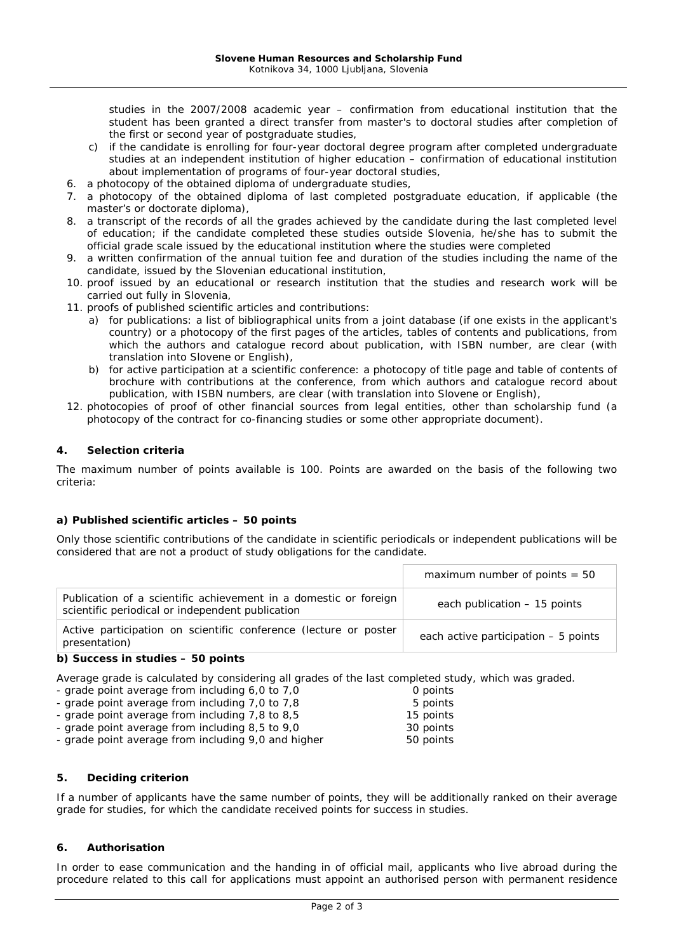studies in the 2007/2008 academic year – confirmation from educational institution that the student has been granted a direct transfer from master's to doctoral studies after completion of the first or second year of postgraduate studies,

- c) if the candidate is enrolling for four-year doctoral degree program after completed undergraduate studies at an independent institution of higher education – confirmation of educational institution about implementation of programs of four-year doctoral studies,
- 6. a photocopy of the obtained diploma of undergraduate studies,
- 7. a photocopy of the obtained diploma of last completed postgraduate education, if applicable (the master's or doctorate diploma),
- 8. a transcript of the records of all the grades achieved by the candidate during the last completed level of education; if the candidate completed these studies outside Slovenia, he/she has to submit the official grade scale issued by the educational institution where the studies were completed
- 9. a written confirmation of the annual tuition fee and duration of the studies including the name of the candidate, issued by the Slovenian educational institution,
- 10. proof issued by an educational or research institution that the studies and research work will be carried out fully in Slovenia,
- 11. proofs of published scientific articles and contributions:
	- a) for publications: a list of bibliographical units from a joint database (if one exists in the applicant's country) or a photocopy of the first pages of the articles, tables of contents and publications, from which the authors and catalogue record about publication, with ISBN number, are clear (with translation into Slovene or English),
	- b) for active participation at a scientific conference: a photocopy of title page and table of contents of brochure with contributions at the conference, from which authors and catalogue record about publication, with ISBN numbers, are clear (with translation into Slovene or English),
- 12. photocopies of proof of other financial sources from legal entities, other than scholarship fund (a photocopy of the contract for co-financing studies or some other appropriate document).

# **4. Selection criteria**

The maximum number of points available is 100. Points are awarded on the basis of the following two criteria:

## **a) Published scientific articles – 50 points**

Only those scientific contributions of the candidate in scientific periodicals or independent publications will be considered that are not a product of study obligations for the candidate.

|                                                                                                                      | maximum number of points $= 50$      |
|----------------------------------------------------------------------------------------------------------------------|--------------------------------------|
| Publication of a scientific achievement in a domestic or foreign<br>scientific periodical or independent publication | each publication - 15 points         |
| Active participation on scientific conference (lecture or poster<br>presentation)                                    | each active participation - 5 points |

#### **b) Success in studies – 50 points**

Average grade is calculated by considering all grades of the last completed study, which was graded.

| - grade point average from including 6,0 to 7,0 |  |           | 0 points |
|-------------------------------------------------|--|-----------|----------|
| - grade point average from including 7,0 to 7,8 |  |           | 5 points |
| - grade point average from including 7,8 to 8,5 |  | 15 points |          |
| - grade point average from including 8,5 to 9,0 |  | 30 points |          |

- grade point average from including 9,0 and higher 50 points

## **5. Deciding criterion**

If a number of applicants have the same number of points, they will be additionally ranked on their average grade for studies, for which the candidate received points for success in studies.

## **6. Authorisation**

In order to ease communication and the handing in of official mail, applicants who live abroad during the procedure related to this call for applications must appoint an authorised person with permanent residence